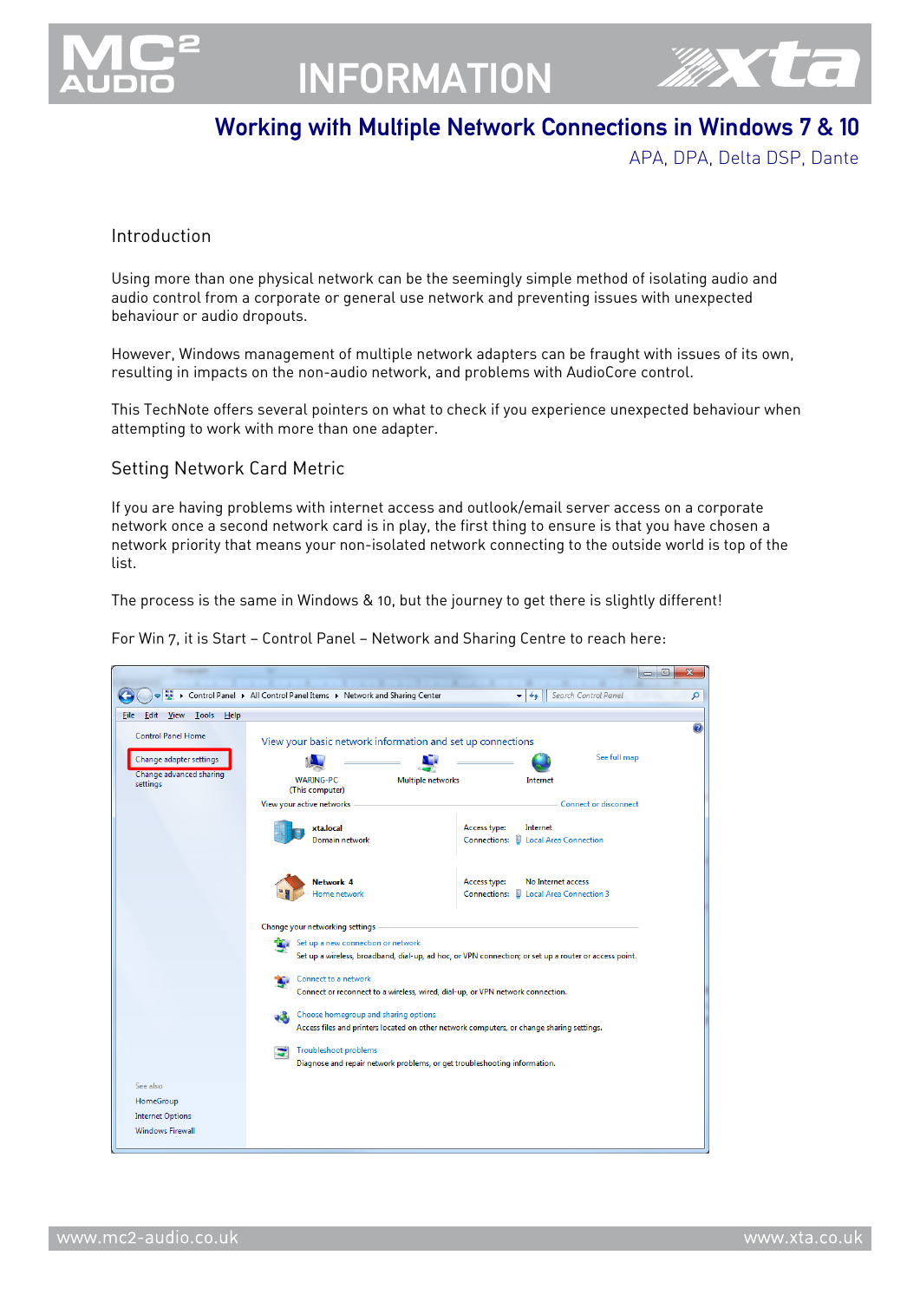

# INFORMATION



### Working with Multiple Network Connections in Windows 7 & 10

APA, DPA, Delta DSP, Dante

#### Introduction

Using more than one physical network can be the seemingly simple method of isolating audio and audio control from a corporate or general use network and preventing issues with unexpected behaviour or audio dropouts.

However, Windows management of multiple network adapters can be fraught with issues of its own, resulting in impacts on the non-audio network, and problems with AudioCore control.

This TechNote offers several pointers on what to check if you experience unexpected behaviour when attempting to work with more than one adapter.

#### Setting Network Card Metric

If you are having problems with internet access and outlook/email server access on a corporate network once a second network card is in play, the first thing to ensure is that you have chosen a network priority that means your non-isolated network connecting to the outside world is top of the list.

The process is the same in Windows & 10, but the journey to get there is slightly different!

For Win 7, it is Start — Control Panel — Network and Sharing Centre to reach here:

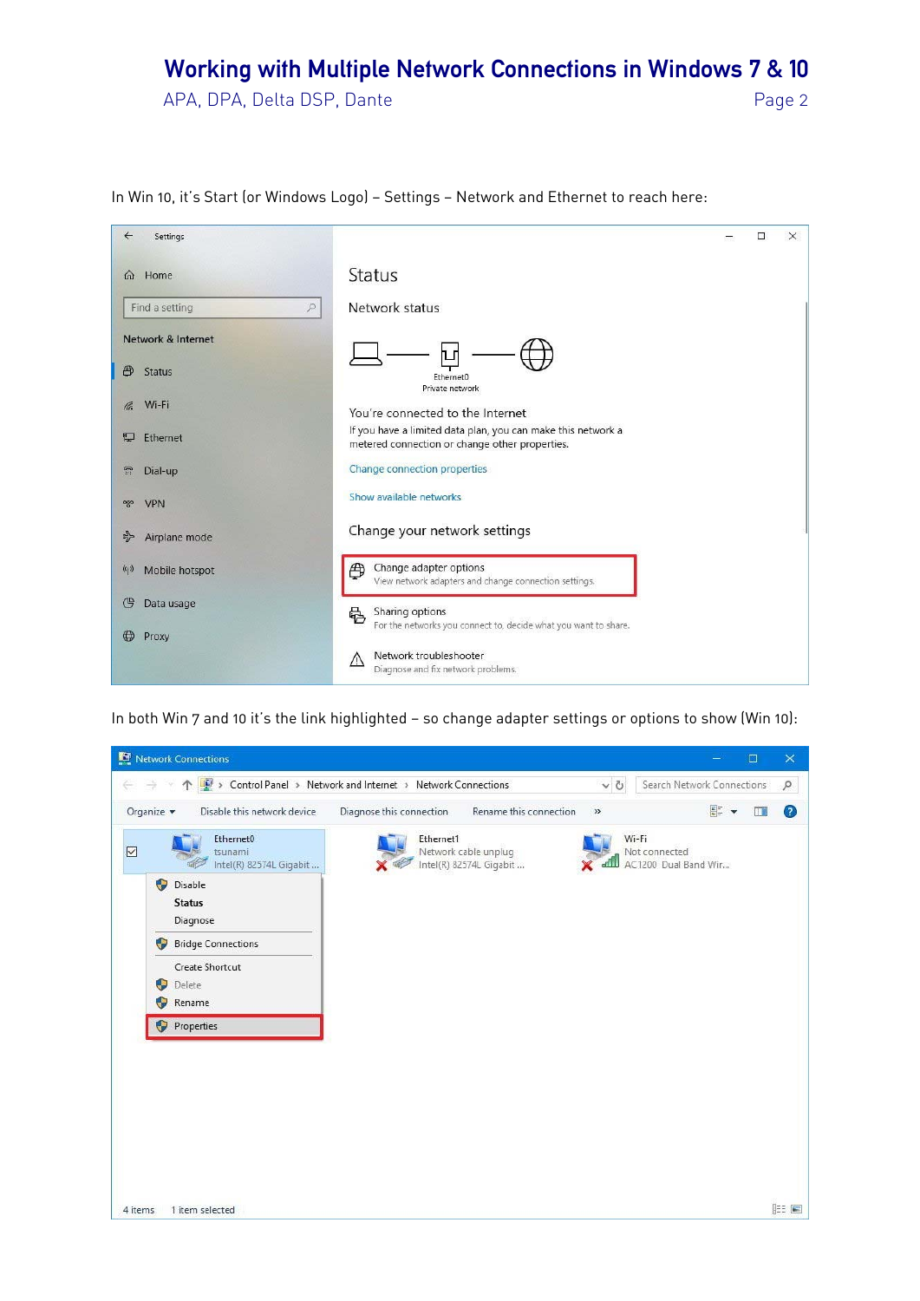APA, DPA, Delta DSP, Dante Page 2

| $\leftarrow$<br>Settings                 | X<br>□                                                                                                         |
|------------------------------------------|----------------------------------------------------------------------------------------------------------------|
| Home<br>⋒                                | <b>Status</b>                                                                                                  |
| Find a setting<br>$\varphi$              | Network status                                                                                                 |
| Network & Internet<br>曲<br><b>Status</b> | Ethernet0<br>Private network                                                                                   |
| Wi-Fi<br>le.                             | You're connected to the Internet                                                                               |
| Ethernet<br>早                            | If you have a limited data plan, you can make this network a<br>metered connection or change other properties. |
| G<br>Dial-up                             | Change connection properties                                                                                   |
| <b>VPN</b><br>989                        | Show available networks                                                                                        |
| Airplane mode<br>$\frac{1}{2}$           | Change your network settings                                                                                   |
| (q)<br>Mobile hotspot                    | Change adapter options<br>⊕<br>View network adapters and change connection settings.                           |
| G<br>Data usage                          | Sharing options<br>喦<br>For the networks you connect to, decide what you want to share.                        |
| ⊕<br>Proxy                               | Network troubleshooter<br>$\sqrt{2}$<br>Diagnose and fix network problems.                                     |

In Win 10, it's Start (or Windows Logo) - Settings - Network and Ethernet to reach here:

In both Win 7 and 10 it's the link highlighted - so change adapter settings or options to show (Win 10):

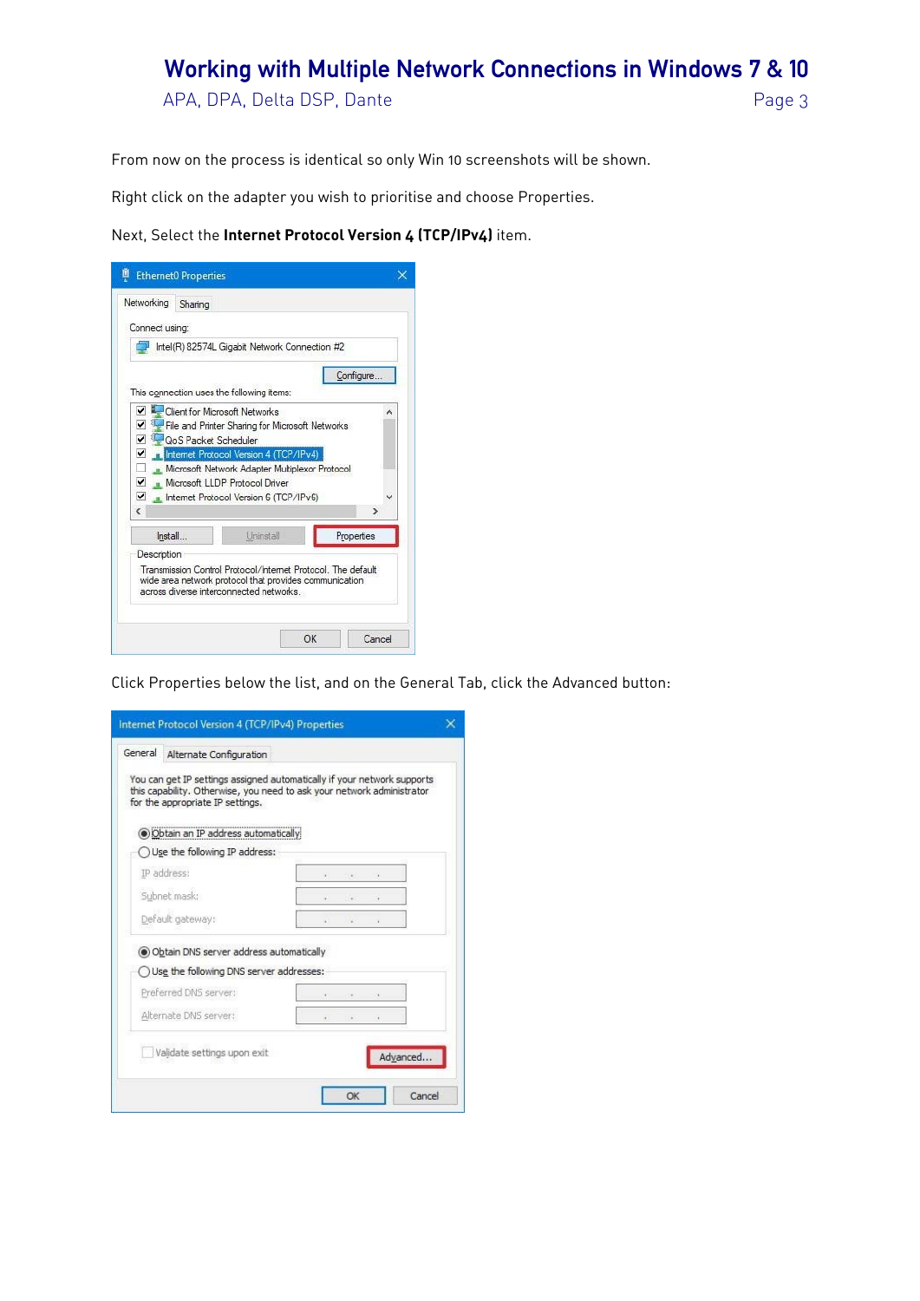APA, DPA, Delta DSP, Dante et al. et al. et al. et al. et al. et al. et al. et al. et al. et al. et al. et al. et al. et al. et al. et al. et al. et al. et al. et al. et al. et al. et al. et al. et al. et al. et al. et al.

From now on the process is identical so only Win 10 screenshots will be shown.

Right click on the adapter you wish to prioritise and choose Properties.

Next, Select the **Internet Protocol Version 4 (TCP/IPv4)** item.

| Networking     | Sharing              |                                                                                                                                                                                 |            |
|----------------|----------------------|---------------------------------------------------------------------------------------------------------------------------------------------------------------------------------|------------|
| Connect using: |                      |                                                                                                                                                                                 |            |
|                |                      | Intel(R) 82574L Gigabit Network Connection #2                                                                                                                                   |            |
|                |                      |                                                                                                                                                                                 | Configure. |
|                |                      | This connection uses the following items:<br>Client for Microsoft Networks                                                                                                      |            |
| ▿              | QoS Packet Scheduler | File and Printer Sharing for Microsoft Networks                                                                                                                                 |            |
| ✔<br>ć         |                      | <b>The Internet Protocol Version 4 (TCP/IPv4)</b><br>Microsoft Network Adapter Multiplexor Protocol<br>Microsoft LLDP Protocol Driver<br>Internet Protocol Version 6 (TCP/IPv6) | <b>D</b>   |
| Install        |                      | Uninstall                                                                                                                                                                       | Properties |

Click Properties below the list, and on the General Tab, click the Advanced button:

| General | Alternate Configuration                                                                                                                                                               |  |                |          |
|---------|---------------------------------------------------------------------------------------------------------------------------------------------------------------------------------------|--|----------------|----------|
|         | You can get IP settings assigned automatically if your network supports<br>this capability. Otherwise, you need to ask your network administrator<br>for the appropriate IP settings. |  |                |          |
|         | ·Obtain an IP address automatically                                                                                                                                                   |  |                |          |
|         | $\bigcirc$ Use the following IP address:                                                                                                                                              |  |                |          |
|         | IP address:                                                                                                                                                                           |  |                |          |
|         | Subnet mask:                                                                                                                                                                          |  | ÷              |          |
|         | Default gateway:                                                                                                                                                                      |  | ä.             |          |
|         | · Obtain DNS server address automatically                                                                                                                                             |  |                |          |
|         | Use the following DNS server addresses:                                                                                                                                               |  |                |          |
|         | Preferred DNS server:                                                                                                                                                                 |  |                |          |
|         | Alternate DNS server:                                                                                                                                                                 |  | $\blacksquare$ |          |
|         | Validate settings upon exit                                                                                                                                                           |  |                | Advanced |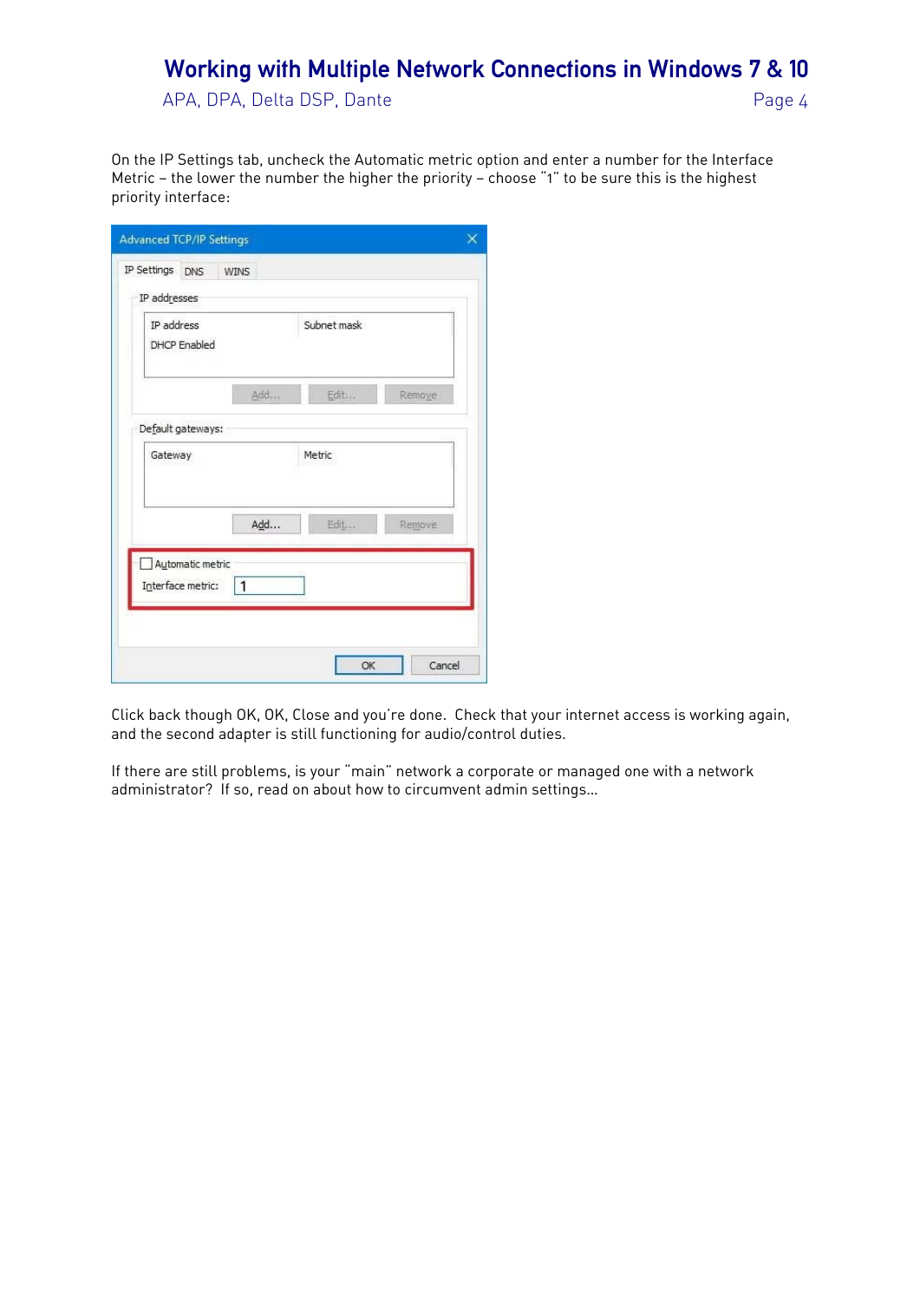APA, DPA, Delta DSP, Dante et al. et al. et al. et al. et al. et al. et al. et al. et al. et al. et al. et al. et al. et al. et al. et al. et al. et al. et al. et al. et al. et al. et al. et al. et al. et al. et al. et al.

On the IP Settings tab, uncheck the Automatic metric option and enter a number for the Interface Metric — the lower the number the higher the priority — choose "1" to be sure this is the highest priority interface:

| IP address<br>DHCP Enabled                            | Subnet mask |        |
|-------------------------------------------------------|-------------|--------|
|                                                       | Add<br>Edit | Remove |
| Default gateways:                                     |             |        |
| Gateway                                               | Metric      |        |
|                                                       | Add<br>Edit | Remove |
| Automatic metric<br>$\mathbf{1}$<br>Interface metric: |             |        |

Click back though OK, OK, Close and you're done. Check that your internet access is working again, and the second adapter is still functioning for audio/control duties.

If there are still problems, is your "main" network a corporate or managed one with a network administrator? If so, read on about how to circumvent admin settings…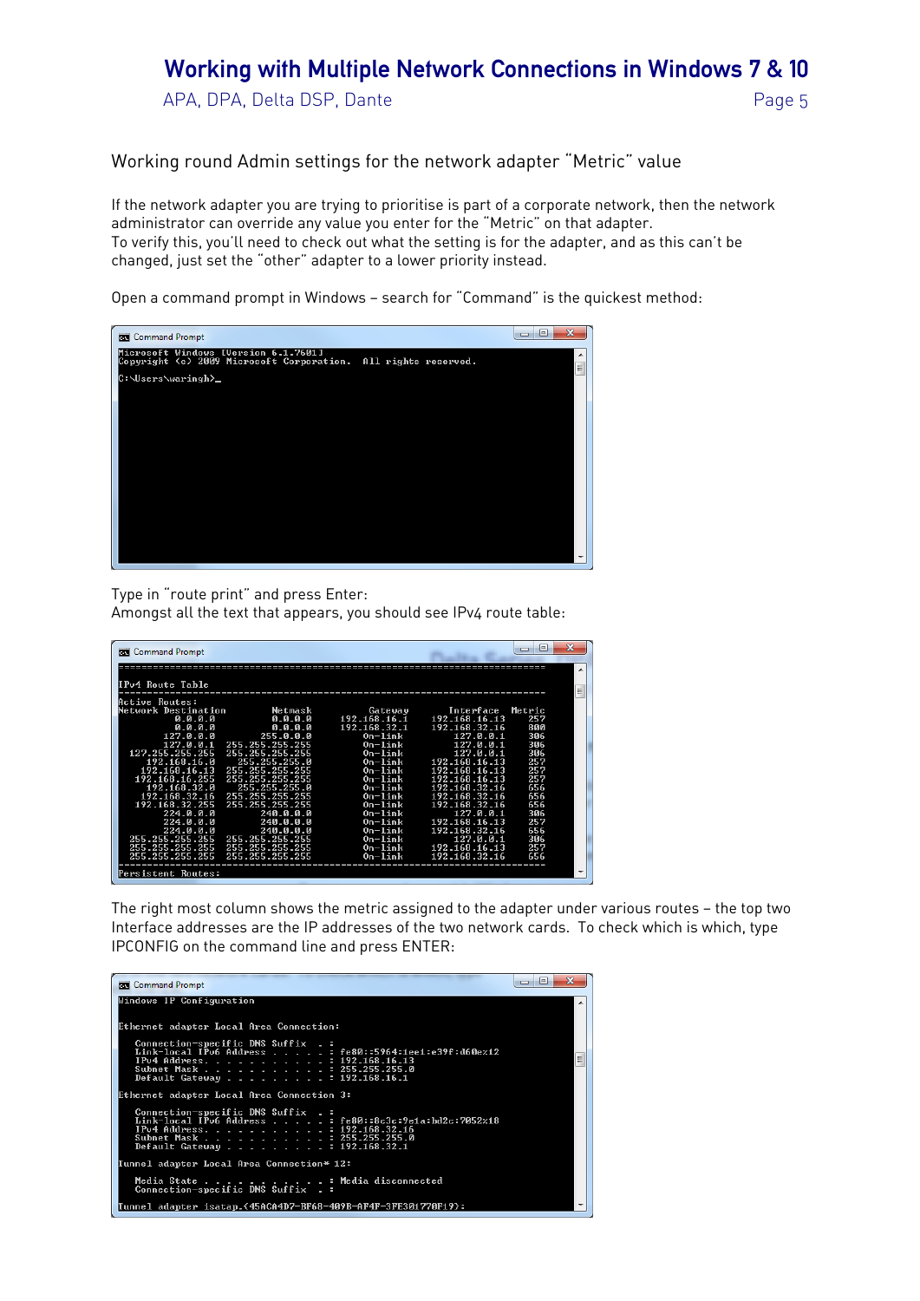APA, DPA, Delta DSP, Dante et al. et al. et al. et al. et al. et al. et al. et al. et al. et al. et al. et al. et al. et al. et al. et al. et al. et al. et al. et al. et al. et al. et al. et al. et al. et al. et al. et al.

Working round Admin settings for the network adapter "Metric" value

If the network adapter you are trying to prioritise is part of a corporate network, then the network administrator can override any value you enter for the "Metric" on that adapter. To verify this, you'll need to check out what the setting is for the adapter, and as this can't be changed, just set the "other" adapter to a lower priority instead.

Open a command prompt in Windows — search for "Command" is the quickest method:



Type in "route print" and press Enter:

Amongst all the text that appears, you should see IPv4 route table:

| <b>Command Prompt</b><br>les. |                 |               |               | ⊫<br>$\Box$ | x |
|-------------------------------|-----------------|---------------|---------------|-------------|---|
|                               |                 |               |               |             | ▲ |
| IPv4 Route Table              |                 |               |               |             | Ξ |
| <b>Active Routes:</b>         |                 |               |               |             |   |
| Network Destination           | Netmask         | Gateway       | Interface     | Metric      |   |
| 0.0.0.0                       | 0.0.0.0         | 192 168 16 1  | 192.168.16.13 | 257         |   |
| 0.0.0.0                       | 0.0.0.0         | 192.168.32.1  | 192.168.32.16 | 800         |   |
| 127.0.0.0                     | 255.0.0.0       | $0n-1$ in $k$ | 127.0.0.1     | 306         |   |
| 127.0.0.1                     | 255.255.255.255 | $0n-1$ ink    | 127.0.0.1     | 306         |   |
| 127.255.255.255               | 255.255.255.255 | $0n-1$ ink    | 127.0.0.1     | 306         |   |
| 192.168.16.0                  | 255.255.255.0   | $0n-1$ ink    | 192.168.16.13 | 257         |   |
| 192.168.16.13                 | 255.255.255.255 | $0n-1$ ink    | 192.168.16.13 | 257         |   |
| 192.168.16.255                | 255.255.255.255 | $0n-1$ in $k$ | 192.168.16.13 | 257         |   |
| 192.168.32.0                  | 255.255.255.0   | $0n-1$ ink    | 192.168.32.16 | 656         |   |
| 192.168.32.16                 | 255.255.255.255 | $0n-1$ ink    | 192.168.32.16 | 656         |   |
| 192.168.32.255                | 255.255.255.255 | $0n-1$ ink    | 192.168.32.16 | 656         |   |
| 224.0.0.0                     | 240.0.0.0       | $0n-1$ ink    | 127.0.0.1     | 306         |   |
| 224.0.0.0                     | 240.0.0.0       | $0n-1$ ink    | 192.168.16.13 | 257         |   |
| 224. А. А. А                  | 240.0.0.0       | $0n-1$ ink    | 192.168.32.16 | 656         |   |
| 255.255.255.255               | 255.255.255.255 | $0n-1$ ink    | 127.0.0.1     | 306         |   |
| 255.255.255.255               | 255.255.255.255 | $On$ -lin $k$ | 192.168.16.13 | 257         |   |
| 255.255.255.255               | 255 255 255 255 | $0n-1$ ink    | 192.168.32.16 | 656         |   |
| Persistent Routes:            |                 |               |               |             |   |
|                               |                 |               |               |             |   |

The right most column shows the metric assigned to the adapter under various routes — the top two Interface addresses are the IP addresses of the two network cards. To check which is which, type IPCONFIG on the command line and press ENTER: